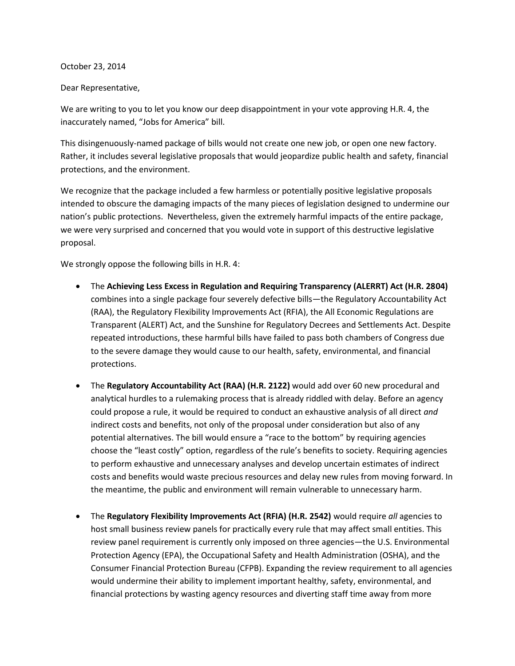## October 23, 2014

## Dear Representative,

We are writing to you to let you know our deep disappointment in your vote approving H.R. 4, the inaccurately named, "Jobs for America" bill.

This disingenuously-named package of bills would not create one new job, or open one new factory. Rather, it includes several legislative proposals that would jeopardize public health and safety, financial protections, and the environment.

We recognize that the package included a few harmless or potentially positive legislative proposals intended to obscure the damaging impacts of the many pieces of legislation designed to undermine our nation's public protections. Nevertheless, given the extremely harmful impacts of the entire package, we were very surprised and concerned that you would vote in support of this destructive legislative proposal.

We strongly oppose the following bills in H.R. 4:

- The **Achieving Less Excess in Regulation and Requiring Transparency (ALERRT) Act (H.R. 2804)**  combines into a single package four severely defective bills—the Regulatory Accountability Act (RAA), the Regulatory Flexibility Improvements Act (RFIA), the All Economic Regulations are Transparent (ALERT) Act, and the Sunshine for Regulatory Decrees and Settlements Act. Despite repeated introductions, these harmful bills have failed to pass both chambers of Congress due to the severe damage they would cause to our health, safety, environmental, and financial protections.
- The **Regulatory Accountability Act (RAA) (H.R. 2122)** would add over 60 new procedural and analytical hurdles to a rulemaking process that is already riddled with delay. Before an agency could propose a rule, it would be required to conduct an exhaustive analysis of all direct *and*  indirect costs and benefits, not only of the proposal under consideration but also of any potential alternatives. The bill would ensure a "race to the bottom" by requiring agencies choose the "least costly" option, regardless of the rule's benefits to society. Requiring agencies to perform exhaustive and unnecessary analyses and develop uncertain estimates of indirect costs and benefits would waste precious resources and delay new rules from moving forward. In the meantime, the public and environment will remain vulnerable to unnecessary harm.
- The **Regulatory Flexibility Improvements Act (RFIA) (H.R. 2542)** would require *all* agencies to host small business review panels for practically every rule that may affect small entities. This review panel requirement is currently only imposed on three agencies—the U.S. Environmental Protection Agency (EPA), the Occupational Safety and Health Administration (OSHA), and the Consumer Financial Protection Bureau (CFPB). Expanding the review requirement to all agencies would undermine their ability to implement important healthy, safety, environmental, and financial protections by wasting agency resources and diverting staff time away from more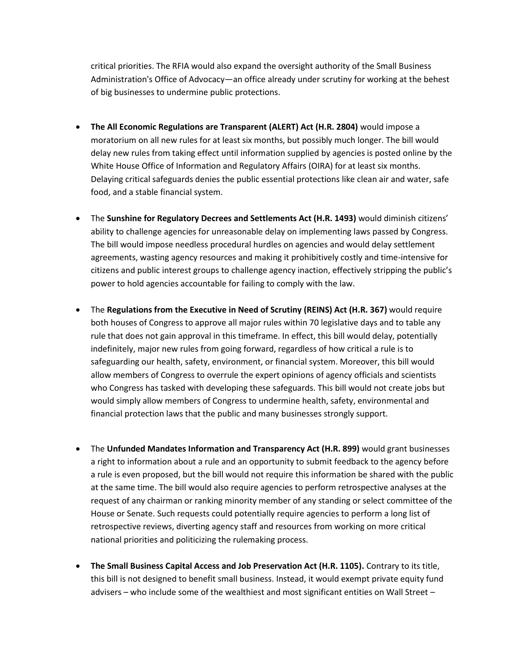critical priorities. The RFIA would also expand the oversight authority of the Small Business Administration's Office of Advocacy—an office already under scrutiny for working at the behest of big businesses to undermine public protections.

- **The All Economic Regulations are Transparent (ALERT) Act (H.R. 2804)** would impose a moratorium on all new rules for at least six months, but possibly much longer. The bill would delay new rules from taking effect until information supplied by agencies is posted online by the White House Office of Information and Regulatory Affairs (OIRA) for at least six months. Delaying critical safeguards denies the public essential protections like clean air and water, safe food, and a stable financial system.
- The **Sunshine for Regulatory Decrees and Settlements Act (H.R. 1493)** would diminish citizens' ability to challenge agencies for unreasonable delay on implementing laws passed by Congress. The bill would impose needless procedural hurdles on agencies and would delay settlement agreements, wasting agency resources and making it prohibitively costly and time-intensive for citizens and public interest groups to challenge agency inaction, effectively stripping the public's power to hold agencies accountable for failing to comply with the law.
- The **Regulations from the Executive in Need of Scrutiny (REINS) Act (H.R. 367)** would require both houses of Congress to approve all major rules within 70 legislative days and to table any rule that does not gain approval in this timeframe. In effect, this bill would delay, potentially indefinitely, major new rules from going forward, regardless of how critical a rule is to safeguarding our health, safety, environment, or financial system. Moreover, this bill would allow members of Congress to overrule the expert opinions of agency officials and scientists who Congress has tasked with developing these safeguards. This bill would not create jobs but would simply allow members of Congress to undermine health, safety, environmental and financial protection laws that the public and many businesses strongly support.
- The **Unfunded Mandates Information and Transparency Act (H.R. 899)** would grant businesses a right to information about a rule and an opportunity to submit feedback to the agency before a rule is even proposed, but the bill would not require this information be shared with the public at the same time. The bill would also require agencies to perform retrospective analyses at the request of any chairman or ranking minority member of any standing or select committee of the House or Senate. Such requests could potentially require agencies to perform a long list of retrospective reviews, diverting agency staff and resources from working on more critical national priorities and politicizing the rulemaking process.
- **The Small Business Capital Access and Job Preservation Act (H.R. 1105).** Contrary to its title, this bill is not designed to benefit small business. Instead, it would exempt private equity fund advisers – who include some of the wealthiest and most significant entities on Wall Street –